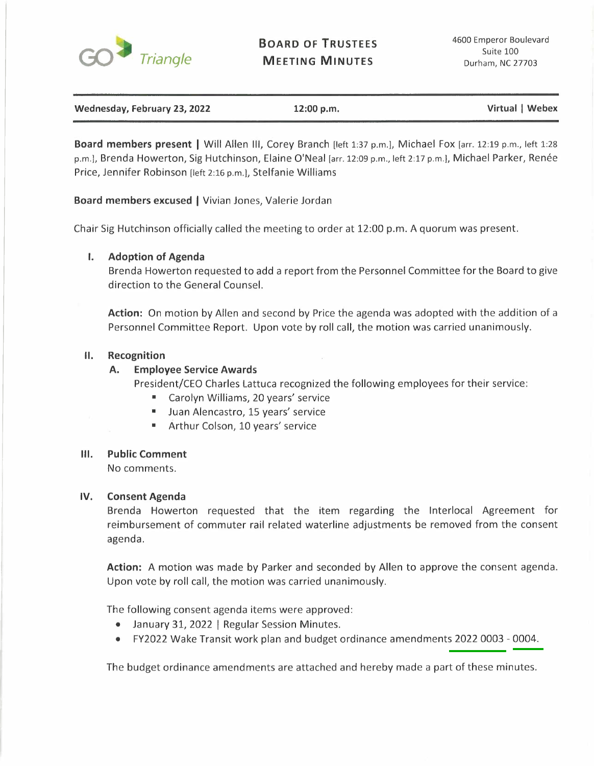

**BOARD OF TRUSTEES MEETING MINUTES** 

**Wednesday, February 23, 2022** 12:00 p.m. **In a struck of the United August 2018** 12:00 p.m. **Virtual | Webex Virtual | Webex** 

**Board members present** I Will Allen Ill, Corey Branch [left 1:37 p.m.], Michael Fox [arr. 12:19 p.m., left 1:28 p.m.], Brenda Howerton, Sig Hutchinson, Elaine O'Neal [arr. 12:09 p.m., left 2:17 p.m.], Michael Parker, Renée Price, Jennifer Robinson [left 2:16 p.m.], Stelfanie Williams

**Board members excused** I Vivian Jones, Valerie Jordan

Chair Sig Hutchinson officially called the meeting to order at 12:00 p.m. A quorum was present.

# **I. Adoption of Agenda**

Brenda Howerton requested to add a report from the Personnel Committee for the Board to give direction to the General Counsel.

**Action:** On motion by Allen and second by Price the agenda was adopted with the addition of a Personnel Committee Report. Upon vote by roll call, the motion was carried unanimously.

## **II. Recognition**

# **A. Employee Service Awards**

President/CEO Charles Lattuca recognized the following employees for their service:

- Carolyn Williams, 20 years' service
- Juan Alencastro, 15 years' service
- Arthur Colson, 10 years' service

## **Ill. Public Comment**

No comments.

## **IV.** Consent Agenda

Brenda Howerton requested that the item regarding the lnterlocal Agreement for reimbursement of commuter rail related waterline adjustments be removed from the consent agenda.

**Action:** A motion was made by Parker and seconded by Allen to approve the consent agenda. Upon vote by roll call, the motion was carried unanimously.

The following consent agenda items were approved:

- January 31, 2022 I Regular Session Minutes.
- FY2022 Wake Transit work plan and budget ordinance amendments 2022 0003 0004.

The budget ordinance amendments are attached and hereby made a part of these minutes.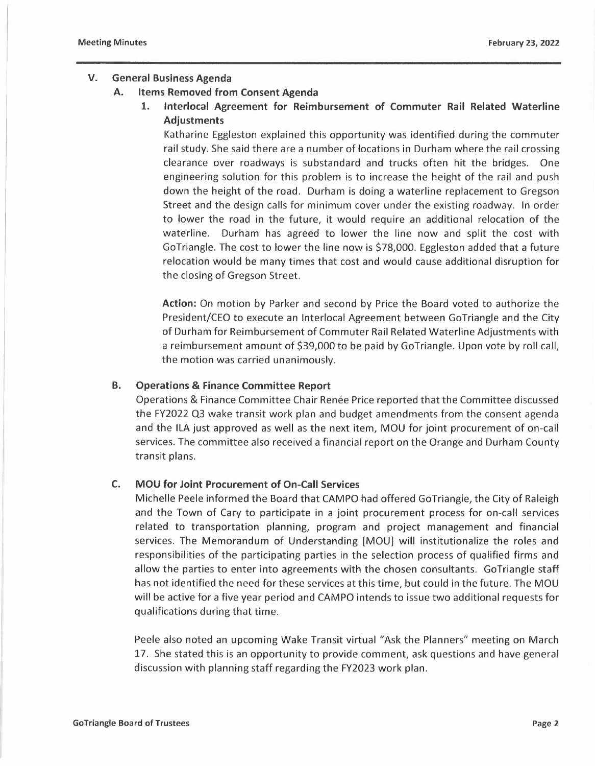# **V. General Business Agenda**

#### **A. Items Removed from Consent Agenda**

**1. lnterlocal Agreement for Reimbursement of Commuter Rail Related Waterline Adjustments** 

Katharine Eggleston explained this opportunity was identified during the commuter rail study. She said there are a number of locations in Durham where the rail crossing clearance over roadways is substandard and trucks often hit the bridges. One engineering solution for this problem is to increase the height of the rail and push down the height of the road. Durham is doing a waterline replacement to Gregson Street and the design calls for minimum cover under the existing roadway. In order to lower the road in the future, it would require an additional relocation of the waterline. Durham has agreed to lower the line now and split the cost with GoTriangle. The cost to lower the line now is \$78,000. Eggleston added that a future relocation would be many times that cost and would cause additional disruption for the closing of Gregson Street.

**Action:** On motion by Parker and second by Price the Board voted to authorize the President/CEO to execute an lnterlocal Agreement between GoTriangle and the City of Durham for Reimbursement of Commuter Rail Related Waterline Adjustments with a reimbursement amount of \$39,000 to be paid by GoTriangle. Upon vote by roll call, the motion was carried unanimously.

#### **B. Operations** & **Finance Committee Report**

Operations & Finance Committee Chair Renée Price reported that the Committee discussed the FY2022 Q3 wake transit work plan and budget amendments from the consent agenda and the ILA just approved as well as the next item, MOU for joint procurement of on-call services. The committee also received a financial report on the Orange and Durham County transit plans.

## **C. MOU for Joint Procurement of On-Call Services**

Michelle Peele informed the Board that CAMPO had offered Go Triangle, the City of Raleigh and the Town of Cary to participate in a joint procurement process for on-call services related to transportation planning, program and project management and financial services. The Memorandum of Understanding [MOU] will institutionalize the roles and responsibilities of the participating parties in the selection process of qualified firms and allow the parties to enter into agreements with the chosen consultants. GoTriangle staff has not identified the need for these services at this time, but could in the future. The MOU will be active for a five year period and CAMPO intends to issue two additional requests for qualifications during that time.

Peele also noted an upcoming Wake Transit virtual "Ask the Planners" meeting on March 17. She stated this is an opportunity to provide comment, ask questions and have general discussion with planning staff regarding the FY2023 work plan.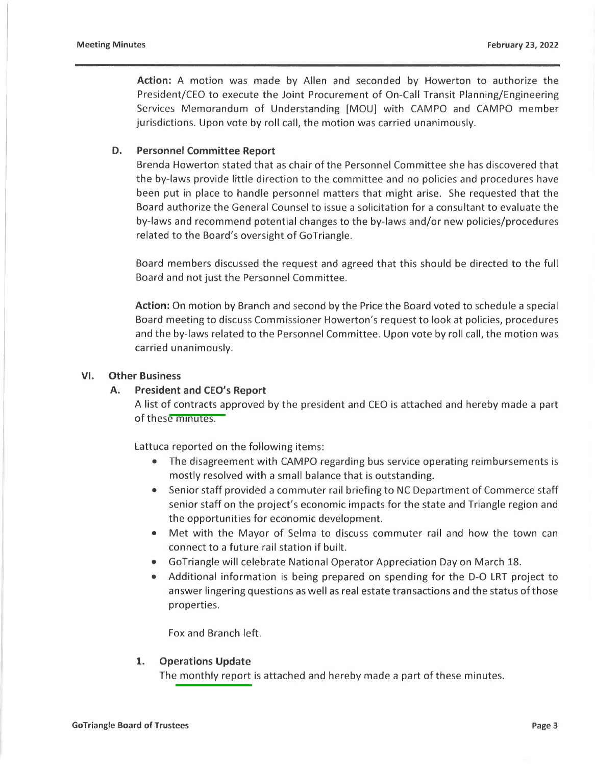**Action:** A motion was made by Allen and seconded by Howerton to authorize the President/CEO to execute the Joint Procurement of On-Call Transit Planning/Engineering Services Memorandum of Understanding [MOU] with CAMPO and CAMPO member jurisdictions. Upon vote by roll call, the motion was carried unanimously.

#### **D. Personnel Committee Report**

Brenda Howerton stated that as chair of the Personnel Committee she has discovered that the by-laws provide little direction to the committee and no policies and procedures have been put in place to handle personnel matters that might arise. She requested that the Board authorize the General Counsel to issue a solicitation for a consultant to evaluate the by-laws and recommend potential changes to the by-laws and/or new policies/procedures related to the Board's oversight of GoTriangle.

Board members discussed the request and agreed that this should be directed to the full Board and not just the Personnel Committee.

**Action:** On motion by Branch and second by the Price the Board voted to schedule a special Board meeting to discuss Commissioner Howerton's request to look at policies, procedures and the by-laws related to the Personnel Committee. Upon vote by roll call, the motion was carried unanimously.

#### **VI. Other Business**

#### **A. President and CEO's Report**

A list of contracts approved by the president and CEO is attached and hereby made a part of these minutes.

Lattuca reported on the following items:

- The disagreement with CAMPO regarding bus service operating reimbursements is mostly resolved with a small balance that is outstanding.
- Senior staff provided a commuter rail briefing to NC Department of Commerce staff senior staff on the project's economic impacts for the state and Triangle region and the opportunities for economic development.
- Met with the Mayor of Selma to discuss commuter rail and how the town can connect to a future rail station if built.
- Go Triangle will celebrate National Operator Appreciation Day on March 18.
- Additional information is being prepared on spending for the D-O LRT project to answer lingering questions as well as real estate transactions and the status of those properties.

Fox and Branch left.

#### **1. Operations Update**

The monthly report is attached and hereby made a part of these minutes.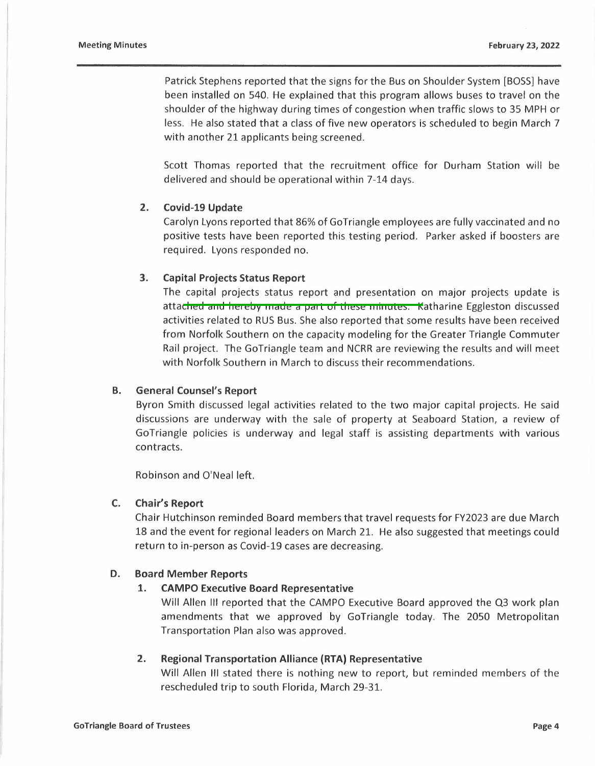Patrick Stephens reported that the signs for the Bus on Shoulder System [BOSS] have been installed on 540. He explained that this program allows buses to travel on the shoulder of the highway during times of congestion when traffic slows to 35 MPH or less. He also stated that a class of five new operators is scheduled to begin March 7 with another 21 applicants being screened.

Scott Thomas reported that the recruitment office for Durham Station will be delivered and should be operational within 7-14 days.

# **2. Covid-19 Update**

Carolyn Lyons reported that 86% of GoTriangle employees are fully vaccinated and no positive tests have been reported this testing period. Parker asked if boosters are required. Lyons responded no.

# **3. Capital Projects Status Report**

The capital projects status report and presentation on major projects update is attached and hereby made a part of these minutes. Katharine Eggleston discussed activities related to RUS Bus. She also reported that some results have been received from Norfolk Southern on the capacity modeling for the Greater Triangle Commuter Rail project. The GoTriangle team and NCRR are reviewing the results and will meet with Norfolk Southern in March to discuss their recommendations.

# **B. General Counsel's Report**

Byron Smith discussed legal activities related to the two major capital projects. He said discussions are underway with the sale of property at Seaboard Station, a review of GoTriangle policies is underway and legal staff is assisting departments with various contracts.

Robinson and O'Neal left.

## **C. Chair's Report**

Chair Hutchinson reminded Board members that travel requests for FY2023 are due March 18 and the event for regional leaders on March 21. He also suggested that meetings could return to in-person as Covid-19 cases are decreasing.

# **D. Board Member Reports**

# **1. CAMPO Executive Board Representative**

Will Allen Ill reported that the CAMPO Executive Board approved the Q3 work plan amendments that we approved by GoTriangle today. The 2050 Metropolitan Transportation Plan also was approved.

## **2. Regional Transportation Alliance (RTA) Representative**

Will Allen III stated there is nothing new to report, but reminded members of the rescheduled trip to south Florida, March 29-31.